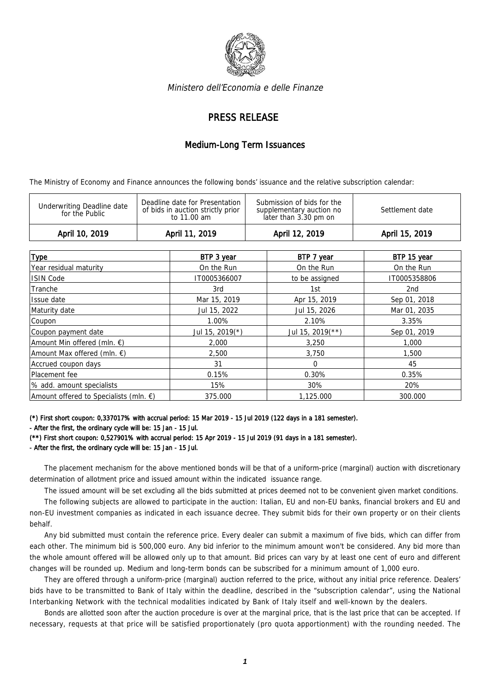

Ministero dell'Economia e delle Finanze

## PRESS RELEASE

## Medium-Long Term Issuances

The Ministry of Economy and Finance announces the following bonds' issuance and the relative subscription calendar:

| Deadline date for Presentation<br>Submission of bids for the<br>Underwriting Deadline date<br>of bids in auction strictly prior<br>Settlement date<br>supplementary auction no<br>for the Public<br>later than 3.30 pm on<br>to 11.00 am | April 10, 2019 | April 11, 2019 | April 12, 2019 | April 15, 2019 |
|------------------------------------------------------------------------------------------------------------------------------------------------------------------------------------------------------------------------------------------|----------------|----------------|----------------|----------------|
|                                                                                                                                                                                                                                          |                |                |                |                |

| <b>Type</b>                            | BTP 3 year         | BTP 7 year       | BTP 15 year  |
|----------------------------------------|--------------------|------------------|--------------|
| Year residual maturity                 | On the Run         | On the Run       | On the Run   |
| <b>ISIN Code</b>                       | IT0005366007       | to be assigned   | IT0005358806 |
| Tranche                                | 3rd                | 1st              | 2nd          |
| Issue date                             | Mar 15, 2019       | Apr 15, 2019     | Sep 01, 2018 |
| Maturity date                          | Jul 15, 2022       | Jul 15, 2026     | Mar 01, 2035 |
| Coupon                                 | 1.00%              | 2.10%            | 3.35%        |
| Coupon payment date                    | Jul 15, 2019 $(*)$ | Jul 15, 2019(**) | Sep 01, 2019 |
| Amount Min offered (mln. €)            | 2,000              | 3,250            | 1,000        |
| Amount Max offered (mln. $\epsilon$ )  | 2,500              | 3.750            | 1,500        |
| Accrued coupon days                    | 31                 | $\Omega$         | 45           |
| Placement fee                          | 0.15%              | 0.30%            | 0.35%        |
| % add. amount specialists              | 15%                | 30%              | 20%          |
| Amount offered to Specialists (mln. €) | 375.000            | 1.125.000        | 300.000      |

(\*) First short coupon: 0,337017% with accrual period: 15 Mar 2019 - 15 Jul 2019 (122 days in a 181 semester).

(\*\*) First short coupon: 0,527901% with accrual period: 15 Apr 2019 - 15 Jul 2019 (91 days in a 181 semester). - After the first, the ordinary cycle will be: 15 Jan - 15 Jul.

The placement mechanism for the above mentioned bonds will be that of a uniform-price (marginal) auction with discretionary determination of allotment price and issued amount within the indicated issuance range.

The issued amount will be set excluding all the bids submitted at prices deemed not to be convenient given market conditions.

The following subjects are allowed to participate in the auction: Italian, EU and non-EU banks, financial brokers and EU and non-EU investment companies as indicated in each issuance decree. They submit bids for their own property or on their clients behalf.

Any bid submitted must contain the reference price. Every dealer can submit a maximum of five bids, which can differ from each other. The minimum bid is 500,000 euro. Any bid inferior to the minimum amount won't be considered. Any bid more than the whole amount offered will be allowed only up to that amount. Bid prices can vary by at least one cent of euro and different changes will be rounded up. Medium and long-term bonds can be subscribed for a minimum amount of 1,000 euro.

They are offered through a uniform-price (marginal) auction referred to the price, without any initial price reference. Dealers' bids have to be transmitted to Bank of Italy within the deadline, described in the "subscription calendar", using the National Interbanking Network with the technical modalities indicated by Bank of Italy itself and well-known by the dealers.

Bonds are allotted soon after the auction procedure is over at the marginal price, that is the last price that can be accepted. If necessary, requests at that price will be satisfied proportionately (pro quota apportionment) with the rounding needed. The

<sup>-</sup> After the first, the ordinary cycle will be: 15 Jan - 15 Jul.